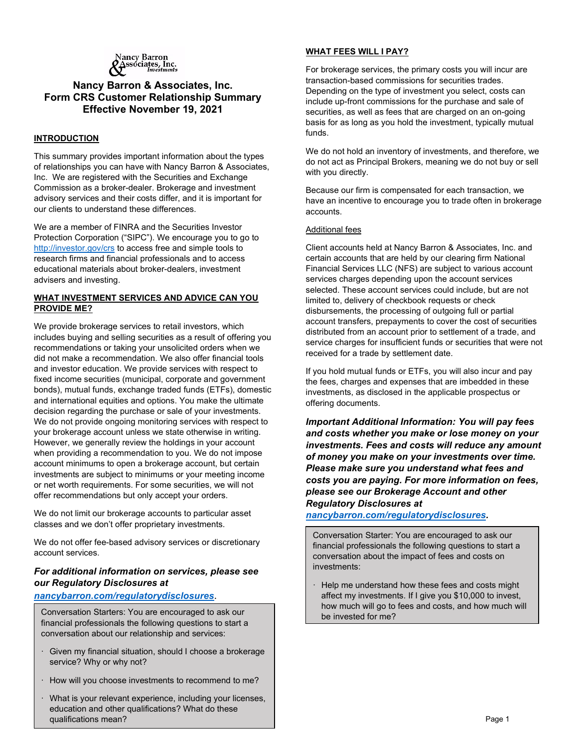

# Nancy Barron & Associates, Inc. Form CRS Customer Relationship Summary Effective November 19, 2021

## INTRODUCTION

This summary provides important information about the types of relationships you can have with Nancy Barron & Associates, Inc. We are registered with the Securities and Exchange Commission as a broker-dealer. Brokerage and investment advisory services and their costs differ, and it is important for our clients to understand these differences.

We are a member of FINRA and the Securities Investor Protection Corporation ("SIPC"). We encourage you to go to http://investor.gov/crs to access free and simple tools to research firms and financial professionals and to access educational materials about broker-dealers, investment advisers and investing.

## WHAT INVESTMENT SERVICES AND ADVICE CAN YOU PROVIDE ME?

We provide brokerage services to retail investors, which includes buying and selling securities as a result of offering you recommendations or taking your unsolicited orders when we did not make a recommendation. We also offer financial tools and investor education. We provide services with respect to fixed income securities (municipal, corporate and government bonds), mutual funds, exchange traded funds (ETFs), domestic and international equities and options. You make the ultimate decision regarding the purchase or sale of your investments. We do not provide ongoing monitoring services with respect to your brokerage account unless we state otherwise in writing. However, we generally review the holdings in your account when providing a recommendation to you. We do not impose account minimums to open a brokerage account, but certain investments are subject to minimums or your meeting income or net worth requirements. For some securities, we will not offer recommendations but only accept your orders.

We do not limit our brokerage accounts to particular asset classes and we don't offer proprietary investments.

We do not offer fee-based advisory services or discretionary account services.

## For additional information on services, please see our Regulatory Disclosures at

#### nancybarron.com/regulatorydisclosures.

Conversation Starters: You are encouraged to ask our financial professionals the following questions to start a conversation about our relationship and services:

- · Given my financial situation, should I choose a brokerage service? Why or why not?
- · How will you choose investments to recommend to me?
- What is your relevant experience, including your licenses, education and other qualifications? What do these qualifications mean?

## WHAT FEES WILL I PAY?

For brokerage services, the primary costs you will incur are transaction-based commissions for securities trades. Depending on the type of investment you select, costs can include up-front commissions for the purchase and sale of securities, as well as fees that are charged on an on-going basis for as long as you hold the investment, typically mutual funds.

We do not hold an inventory of investments, and therefore, we do not act as Principal Brokers, meaning we do not buy or sell with you directly.

Because our firm is compensated for each transaction, we have an incentive to encourage you to trade often in brokerage accounts.

#### Additional fees

Client accounts held at Nancy Barron & Associates, Inc. and certain accounts that are held by our clearing firm National Financial Services LLC (NFS) are subject to various account services charges depending upon the account services selected. These account services could include, but are not limited to, delivery of checkbook requests or check disbursements, the processing of outgoing full or partial account transfers, prepayments to cover the cost of securities distributed from an account prior to settlement of a trade, and service charges for insufficient funds or securities that were not received for a trade by settlement date.

If you hold mutual funds or ETFs, you will also incur and pay the fees, charges and expenses that are imbedded in these investments, as disclosed in the applicable prospectus or offering documents.

Important Additional Information: You will pay fees and costs whether you make or lose money on your investments. Fees and costs will reduce any amount of money you make on your investments over time. Please make sure you understand what fees and costs you are paying. For more information on fees, please see our Brokerage Account and other Regulatory Disclosures at

nancybarron.com/regulatorydisclosures.

Conversation Starter: You are encouraged to ask our financial professionals the following questions to start a conversation about the impact of fees and costs on investments:

 $\cdot$  Help me understand how these fees and costs might affect my investments. If I give you \$10,000 to invest, how much will go to fees and costs, and how much will be invested for me?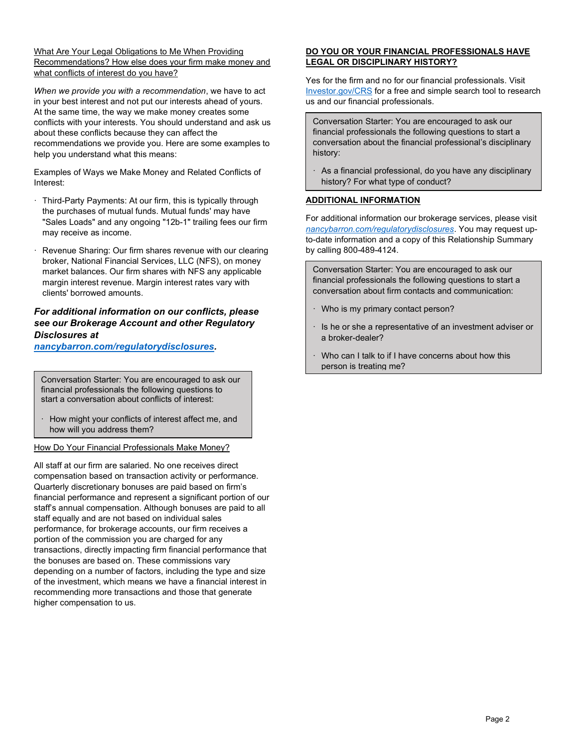#### What Are Your Legal Obligations to Me When Providing Recommendations? How else does your firm make money and what conflicts of interest do you have?

When we provide you with a recommendation, we have to act in your best interest and not put our interests ahead of yours. At the same time, the way we make money creates some conflicts with your interests. You should understand and ask us about these conflicts because they can affect the recommendations we provide you. Here are some examples to help you understand what this means:

Examples of Ways we Make Money and Related Conflicts of Interest:

- · Third-Party Payments: At our firm, this is typically through the purchases of mutual funds. Mutual funds' may have "Sales Loads" and any ongoing "12b-1" trailing fees our firm may receive as income.
- Revenue Sharing: Our firm shares revenue with our clearing broker, National Financial Services, LLC (NFS), on money market balances. Our firm shares with NFS any applicable margin interest revenue. Margin interest rates vary with clients' borrowed amounts.

# For additional information on our conflicts, please see our Brokerage Account and other Regulatory Disclosures at

nancybarron.com/regulatorydisclosures.

Conversation Starter: You are encouraged to ask our financial professionals the following questions to start a conversation about conflicts of interest:

How might your conflicts of interest affect me, and how will you address them?

How Do Your Financial Professionals Make Money?

All staff at our firm are salaried. No one receives direct compensation based on transaction activity or performance. Quarterly discretionary bonuses are paid based on firm's financial performance and represent a significant portion of our staff's annual compensation. Although bonuses are paid to all staff equally and are not based on individual sales performance, for brokerage accounts, our firm receives a portion of the commission you are charged for any transactions, directly impacting firm financial performance that the bonuses are based on. These commissions vary depending on a number of factors, including the type and size of the investment, which means we have a financial interest in recommending more transactions and those that generate higher compensation to us.

## DO YOU OR YOUR FINANCIAL PROFESSIONALS HAVE LEGAL OR DISCIPLINARY HISTORY?

Yes for the firm and no for our financial professionals. Visit Investor.gov/CRS for a free and simple search tool to research us and our financial professionals.

Conversation Starter: You are encouraged to ask our financial professionals the following questions to start a conversation about the financial professional's disciplinary history:

· As a financial professional, do you have any disciplinary history? For what type of conduct?

# ADDITIONAL INFORMATION

For additional information our brokerage services, please visit nancybarron.com/regulatorydisclosures. You may request upto-date information and a copy of this Relationship Summary by calling 800-489-4124.

Conversation Starter: You are encouraged to ask our financial professionals the following questions to start a conversation about firm contacts and communication:

- · Who is my primary contact person?
- · Is he or she a representative of an investment adviser or a broker-dealer?
- · Who can I talk to if I have concerns about how this person is treating me?